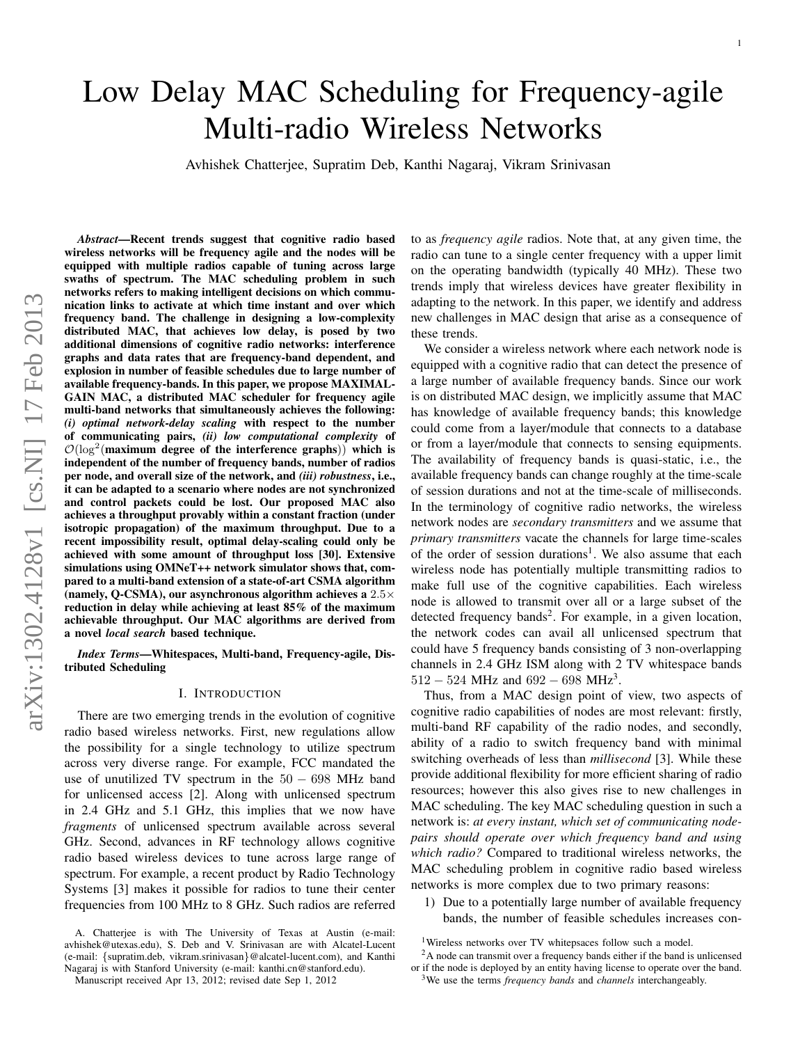# Low Delay MAC Scheduling for Frequency-agile Multi-radio Wireless Networks

Avhishek Chatterjee, Supratim Deb, Kanthi Nagaraj, Vikram Srinivasan

*Abstract*—Recent trends suggest that cognitive radio based wireless networks will be frequency agile and the nodes will be equipped with multiple radios capable of tuning across large swaths of spectrum. The MAC scheduling problem in such networks refers to making intelligent decisions on which communication links to activate at which time instant and over which frequency band. The challenge in designing a low-complexity distributed MAC, that achieves low delay, is posed by two additional dimensions of cognitive radio networks: interference graphs and data rates that are frequency-band dependent, and explosion in number of feasible schedules due to large number of available frequency-bands. In this paper, we propose MAXIMAL-GAIN MAC, a distributed MAC scheduler for frequency agile multi-band networks that simultaneously achieves the following: *(i) optimal network-delay scaling* with respect to the number of communicating pairs, *(ii) low computational complexity* of  $\mathcal{O}(\log^2(maximum$  degree of the interference graphs)) which is independent of the number of frequency bands, number of radios per node, and overall size of the network, and *(iii) robustness*, i.e., it can be adapted to a scenario where nodes are not synchronized and control packets could be lost. Our proposed MAC also achieves a throughput provably within a constant fraction (under isotropic propagation) of the maximum throughput. Due to a recent impossibility result, optimal delay-scaling could only be achieved with some amount of throughput loss [30]. Extensive simulations using OMNeT++ network simulator shows that, compared to a multi-band extension of a state-of-art CSMA algorithm (namely, Q-CSMA), our asynchronous algorithm achieves a  $2.5\times$ reduction in delay while achieving at least 85% of the maximum achievable throughput. Our MAC algorithms are derived from a novel *local search* based technique.

*Index Terms*—Whitespaces, Multi-band, Frequency-agile, Distributed Scheduling

# I. INTRODUCTION

There are two emerging trends in the evolution of cognitive radio based wireless networks. First, new regulations allow the possibility for a single technology to utilize spectrum across very diverse range. For example, FCC mandated the use of unutilized TV spectrum in the  $50 - 698$  MHz band for unlicensed access [2]. Along with unlicensed spectrum in 2.4 GHz and 5.1 GHz, this implies that we now have *fragments* of unlicensed spectrum available across several GHz. Second, advances in RF technology allows cognitive radio based wireless devices to tune across large range of spectrum. For example, a recent product by Radio Technology Systems [3] makes it possible for radios to tune their center frequencies from 100 MHz to 8 GHz. Such radios are referred

A. Chatterjee is with The University of Texas at Austin (e-mail: avhishek@utexas.edu), S. Deb and V. Srinivasan are with Alcatel-Lucent (e-mail: {supratim.deb, vikram.srinivasan}@alcatel-lucent.com), and Kanthi Nagaraj is with Stanford University (e-mail: kanthi.cn@stanford.edu).

Manuscript received Apr 13, 2012; revised date Sep 1, 2012

to as *frequency agile* radios. Note that, at any given time, the radio can tune to a single center frequency with a upper limit on the operating bandwidth (typically 40 MHz). These two trends imply that wireless devices have greater flexibility in adapting to the network. In this paper, we identify and address new challenges in MAC design that arise as a consequence of these trends.

We consider a wireless network where each network node is equipped with a cognitive radio that can detect the presence of a large number of available frequency bands. Since our work is on distributed MAC design, we implicitly assume that MAC has knowledge of available frequency bands; this knowledge could come from a layer/module that connects to a database or from a layer/module that connects to sensing equipments. The availability of frequency bands is quasi-static, i.e., the available frequency bands can change roughly at the time-scale of session durations and not at the time-scale of milliseconds. In the terminology of cognitive radio networks, the wireless network nodes are *secondary transmitters* and we assume that *primary transmitters* vacate the channels for large time-scales of the order of session durations<sup>1</sup>. We also assume that each wireless node has potentially multiple transmitting radios to make full use of the cognitive capabilities. Each wireless node is allowed to transmit over all or a large subset of the detected frequency bands<sup>2</sup>. For example, in a given location, the network codes can avail all unlicensed spectrum that could have 5 frequency bands consisting of 3 non-overlapping channels in 2.4 GHz ISM along with 2 TV whitespace bands  $512 - 524$  MHz and  $692 - 698$  MHz<sup>3</sup>.

Thus, from a MAC design point of view, two aspects of cognitive radio capabilities of nodes are most relevant: firstly, multi-band RF capability of the radio nodes, and secondly, ability of a radio to switch frequency band with minimal switching overheads of less than *millisecond* [3]. While these provide additional flexibility for more efficient sharing of radio resources; however this also gives rise to new challenges in MAC scheduling. The key MAC scheduling question in such a network is: *at every instant, which set of communicating nodepairs should operate over which frequency band and using which radio?* Compared to traditional wireless networks, the MAC scheduling problem in cognitive radio based wireless networks is more complex due to two primary reasons:

1) Due to a potentially large number of available frequency bands, the number of feasible schedules increases con-

<sup>1</sup>Wireless networks over TV whitepsaces follow such a model.

<sup>&</sup>lt;sup>2</sup>A node can transmit over a frequency bands either if the band is unlicensed or if the node is deployed by an entity having license to operate over the band.

<sup>3</sup>We use the terms *frequency bands* and *channels* interchangeably.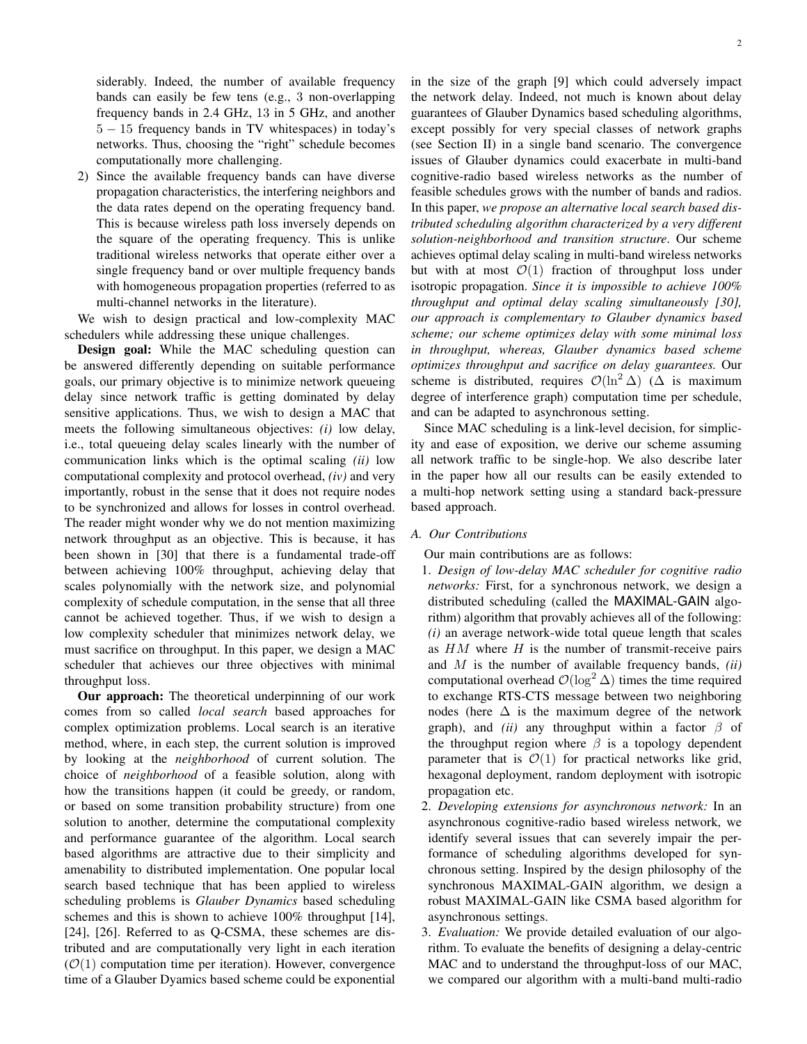siderably. Indeed, the number of available frequency bands can easily be few tens (e.g., 3 non-overlapping frequency bands in 2.4 GHz, 13 in 5 GHz, and another 5 − 15 frequency bands in TV whitespaces) in today's networks. Thus, choosing the "right" schedule becomes computationally more challenging.

2) Since the available frequency bands can have diverse propagation characteristics, the interfering neighbors and the data rates depend on the operating frequency band. This is because wireless path loss inversely depends on the square of the operating frequency. This is unlike traditional wireless networks that operate either over a single frequency band or over multiple frequency bands with homogeneous propagation properties (referred to as multi-channel networks in the literature).

We wish to design practical and low-complexity MAC schedulers while addressing these unique challenges.

Design goal: While the MAC scheduling question can be answered differently depending on suitable performance goals, our primary objective is to minimize network queueing delay since network traffic is getting dominated by delay sensitive applications. Thus, we wish to design a MAC that meets the following simultaneous objectives: *(i)* low delay, i.e., total queueing delay scales linearly with the number of communication links which is the optimal scaling *(ii)* low computational complexity and protocol overhead, *(iv)* and very importantly, robust in the sense that it does not require nodes to be synchronized and allows for losses in control overhead. The reader might wonder why we do not mention maximizing network throughput as an objective. This is because, it has been shown in [30] that there is a fundamental trade-off between achieving 100% throughput, achieving delay that scales polynomially with the network size, and polynomial complexity of schedule computation, in the sense that all three cannot be achieved together. Thus, if we wish to design a low complexity scheduler that minimizes network delay, we must sacrifice on throughput. In this paper, we design a MAC scheduler that achieves our three objectives with minimal throughput loss.

Our approach: The theoretical underpinning of our work comes from so called *local search* based approaches for complex optimization problems. Local search is an iterative method, where, in each step, the current solution is improved by looking at the *neighborhood* of current solution. The choice of *neighborhood* of a feasible solution, along with how the transitions happen (it could be greedy, or random, or based on some transition probability structure) from one solution to another, determine the computational complexity and performance guarantee of the algorithm. Local search based algorithms are attractive due to their simplicity and amenability to distributed implementation. One popular local search based technique that has been applied to wireless scheduling problems is *Glauber Dynamics* based scheduling schemes and this is shown to achieve 100% throughput [14], [24], [26]. Referred to as O-CSMA, these schemes are distributed and are computationally very light in each iteration  $(\mathcal{O}(1))$  computation time per iteration). However, convergence time of a Glauber Dyamics based scheme could be exponential in the size of the graph [9] which could adversely impact the network delay. Indeed, not much is known about delay guarantees of Glauber Dynamics based scheduling algorithms, except possibly for very special classes of network graphs (see Section II) in a single band scenario. The convergence issues of Glauber dynamics could exacerbate in multi-band cognitive-radio based wireless networks as the number of feasible schedules grows with the number of bands and radios. In this paper, *we propose an alternative local search based distributed scheduling algorithm characterized by a very different solution-neighborhood and transition structure*. Our scheme achieves optimal delay scaling in multi-band wireless networks but with at most  $\mathcal{O}(1)$  fraction of throughput loss under isotropic propagation. *Since it is impossible to achieve 100% throughput and optimal delay scaling simultaneously [30], our approach is complementary to Glauber dynamics based scheme; our scheme optimizes delay with some minimal loss in throughput, whereas, Glauber dynamics based scheme optimizes throughput and sacrifice on delay guarantees.* Our scheme is distributed, requires  $\mathcal{O}(\ln^2 \Delta)$  ( $\Delta$  is maximum degree of interference graph) computation time per schedule, and can be adapted to asynchronous setting.

Since MAC scheduling is a link-level decision, for simplicity and ease of exposition, we derive our scheme assuming all network traffic to be single-hop. We also describe later in the paper how all our results can be easily extended to a multi-hop network setting using a standard back-pressure based approach.

*A. Our Contributions*

Our main contributions are as follows:

- 1. *Design of low-delay MAC scheduler for cognitive radio networks:* First, for a synchronous network, we design a distributed scheduling (called the MAXIMAL-GAIN algorithm) algorithm that provably achieves all of the following: *(i)* an average network-wide total queue length that scales as  $HM$  where  $H$  is the number of transmit-receive pairs and M is the number of available frequency bands, *(ii)* computational overhead  $\mathcal{O}(\log^2 \Delta)$  times the time required to exchange RTS-CTS message between two neighboring nodes (here  $\Delta$  is the maximum degree of the network graph), and *(ii)* any throughput within a factor  $\beta$  of the throughput region where  $\beta$  is a topology dependent parameter that is  $\mathcal{O}(1)$  for practical networks like grid, hexagonal deployment, random deployment with isotropic propagation etc.
- 2. *Developing extensions for asynchronous network:* In an asynchronous cognitive-radio based wireless network, we identify several issues that can severely impair the performance of scheduling algorithms developed for synchronous setting. Inspired by the design philosophy of the synchronous MAXIMAL-GAIN algorithm, we design a robust MAXIMAL-GAIN like CSMA based algorithm for asynchronous settings.
- 3. *Evaluation:* We provide detailed evaluation of our algorithm. To evaluate the benefits of designing a delay-centric MAC and to understand the throughput-loss of our MAC, we compared our algorithm with a multi-band multi-radio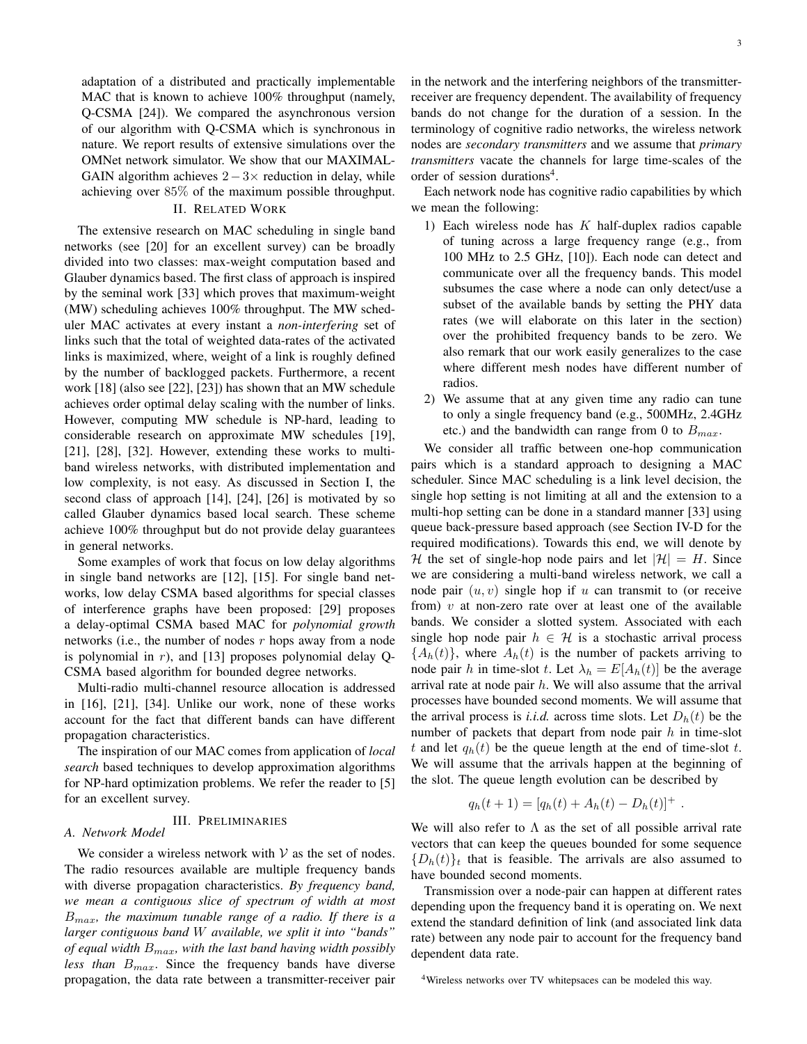adaptation of a distributed and practically implementable MAC that is known to achieve 100% throughput (namely, Q-CSMA [24]). We compared the asynchronous version of our algorithm with Q-CSMA which is synchronous in nature. We report results of extensive simulations over the OMNet network simulator. We show that our MAXIMAL-GAIN algorithm achieves  $2-3\times$  reduction in delay, while achieving over 85% of the maximum possible throughput.

# II. RELATED WORK

The extensive research on MAC scheduling in single band networks (see [20] for an excellent survey) can be broadly divided into two classes: max-weight computation based and Glauber dynamics based. The first class of approach is inspired by the seminal work [33] which proves that maximum-weight (MW) scheduling achieves 100% throughput. The MW scheduler MAC activates at every instant a *non-interfering* set of links such that the total of weighted data-rates of the activated links is maximized, where, weight of a link is roughly defined by the number of backlogged packets. Furthermore, a recent work [18] (also see [22], [23]) has shown that an MW schedule achieves order optimal delay scaling with the number of links. However, computing MW schedule is NP-hard, leading to considerable research on approximate MW schedules [19], [21], [28], [32]. However, extending these works to multiband wireless networks, with distributed implementation and low complexity, is not easy. As discussed in Section I, the second class of approach [14], [24], [26] is motivated by so called Glauber dynamics based local search. These scheme achieve 100% throughput but do not provide delay guarantees in general networks.

Some examples of work that focus on low delay algorithms in single band networks are [12], [15]. For single band networks, low delay CSMA based algorithms for special classes of interference graphs have been proposed: [29] proposes a delay-optimal CSMA based MAC for *polynomial growth* networks (i.e., the number of nodes  $r$  hops away from a node is polynomial in  $r$ ), and [13] proposes polynomial delay Q-CSMA based algorithm for bounded degree networks.

Multi-radio multi-channel resource allocation is addressed in [16], [21], [34]. Unlike our work, none of these works account for the fact that different bands can have different propagation characteristics.

The inspiration of our MAC comes from application of *local search* based techniques to develop approximation algorithms for NP-hard optimization problems. We refer the reader to [5] for an excellent survey.

## III. PRELIMINARIES

# *A. Network Model*

We consider a wireless network with  $V$  as the set of nodes. The radio resources available are multiple frequency bands with diverse propagation characteristics. *By frequency band, we mean a contiguous slice of spectrum of width at most* Bmax*, the maximum tunable range of a radio. If there is a larger contiguous band* W *available, we split it into "bands" of equal width* Bmax*, with the last band having width possibly less than*  $B_{max}$ . Since the frequency bands have diverse propagation, the data rate between a transmitter-receiver pair in the network and the interfering neighbors of the transmitterreceiver are frequency dependent. The availability of frequency bands do not change for the duration of a session. In the terminology of cognitive radio networks, the wireless network nodes are *secondary transmitters* and we assume that *primary transmitters* vacate the channels for large time-scales of the order of session durations<sup>4</sup>.

Each network node has cognitive radio capabilities by which we mean the following:

- 1) Each wireless node has  $K$  half-duplex radios capable of tuning across a large frequency range (e.g., from 100 MHz to 2.5 GHz, [10]). Each node can detect and communicate over all the frequency bands. This model subsumes the case where a node can only detect/use a subset of the available bands by setting the PHY data rates (we will elaborate on this later in the section) over the prohibited frequency bands to be zero. We also remark that our work easily generalizes to the case where different mesh nodes have different number of radios.
- 2) We assume that at any given time any radio can tune to only a single frequency band (e.g., 500MHz, 2.4GHz etc.) and the bandwidth can range from 0 to  $B_{max}$ .

We consider all traffic between one-hop communication pairs which is a standard approach to designing a MAC scheduler. Since MAC scheduling is a link level decision, the single hop setting is not limiting at all and the extension to a multi-hop setting can be done in a standard manner [33] using queue back-pressure based approach (see Section IV-D for the required modifications). Towards this end, we will denote by H the set of single-hop node pairs and let  $|\mathcal{H}| = H$ . Since we are considering a multi-band wireless network, we call a node pair  $(u, v)$  single hop if u can transmit to (or receive from)  $v$  at non-zero rate over at least one of the available bands. We consider a slotted system. Associated with each single hop node pair  $h \in \mathcal{H}$  is a stochastic arrival process  ${A_h(t)}$ , where  $A_h(t)$  is the number of packets arriving to node pair h in time-slot t. Let  $\lambda_h = E[A_h(t)]$  be the average arrival rate at node pair h. We will also assume that the arrival processes have bounded second moments. We will assume that the arrival process is *i.i.d.* across time slots. Let  $D_h(t)$  be the number of packets that depart from node pair  $h$  in time-slot t and let  $q_h(t)$  be the queue length at the end of time-slot t. We will assume that the arrivals happen at the beginning of the slot. The queue length evolution can be described by

$$
q_h(t+1) = [q_h(t) + A_h(t) - D_h(t)]^+.
$$

We will also refer to  $\Lambda$  as the set of all possible arrival rate vectors that can keep the queues bounded for some sequence  ${D_h(t)}_t$  that is feasible. The arrivals are also assumed to have bounded second moments.

Transmission over a node-pair can happen at different rates depending upon the frequency band it is operating on. We next extend the standard definition of link (and associated link data rate) between any node pair to account for the frequency band dependent data rate.

<sup>4</sup>Wireless networks over TV whitepsaces can be modeled this way.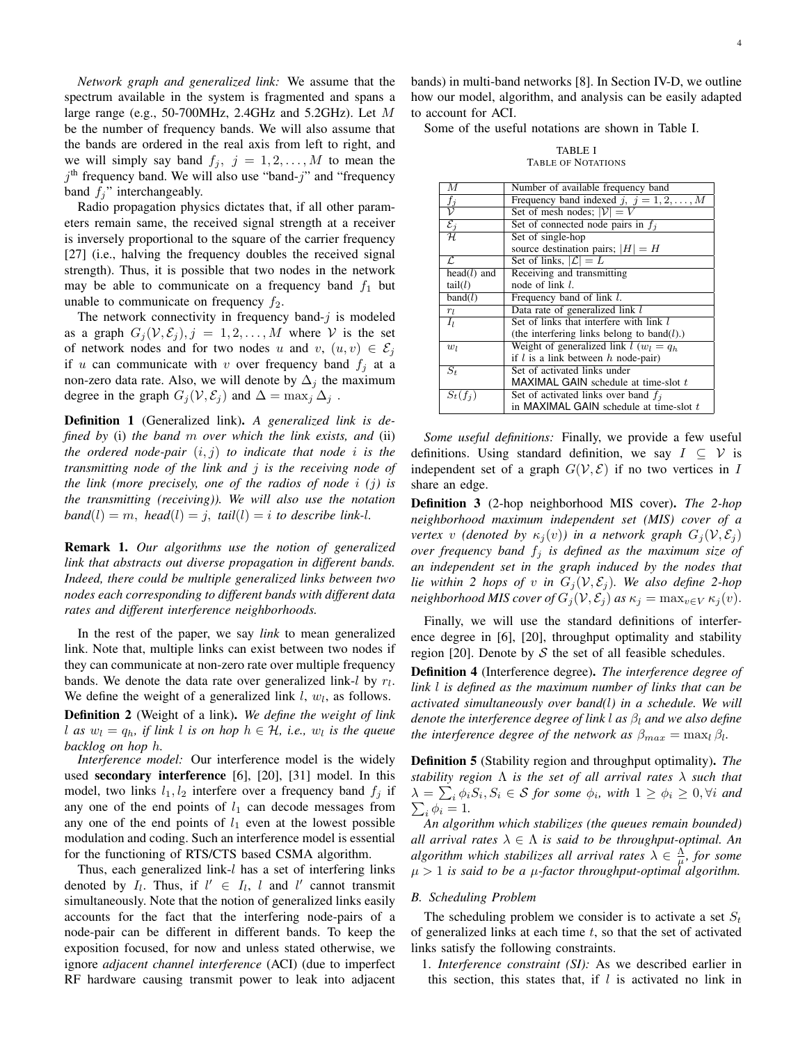*Network graph and generalized link:* We assume that the spectrum available in the system is fragmented and spans a large range (e.g., 50-700MHz, 2.4GHz and 5.2GHz). Let  $M$ be the number of frequency bands. We will also assume that the bands are ordered in the real axis from left to right, and we will simply say band  $f_j$ ,  $j = 1, 2, \ldots, M$  to mean the  $j<sup>th</sup>$  frequency band. We will also use "band-j" and "frequency band  $f_i$ " interchangeably.

Radio propagation physics dictates that, if all other parameters remain same, the received signal strength at a receiver is inversely proportional to the square of the carrier frequency [27] (i.e., halving the frequency doubles the received signal strength). Thus, it is possible that two nodes in the network may be able to communicate on a frequency band  $f_1$  but unable to communicate on frequency  $f_2$ .

The network connectivity in frequency band- $j$  is modeled as a graph  $G_j(\mathcal{V}, \mathcal{E}_j), j = 1, 2, ..., M$  where V is the set of network nodes and for two nodes u and  $v, (u, v) \in \mathcal{E}_i$ if u can communicate with v over frequency band  $f_i$  at a non-zero data rate. Also, we will denote by  $\Delta_j$  the maximum degree in the graph  $G_j(V, \mathcal{E}_j)$  and  $\Delta = \max_j \Delta_j$ .

Definition 1 (Generalized link). *A generalized link is defined by* (i) *the band* m *over which the link exists, and* (ii) *the ordered node-pair*  $(i, j)$  *to indicate that node i is the transmitting node of the link and* j *is the receiving node of the link (more precisely, one of the radios of node* i *(*j*) is the transmitting (receiving)). We will also use the notation*  $band(l) = m$ ,  $head(l) = j$ ,  $tail(l) = i$  *to describe link-l.* 

Remark 1. *Our algorithms use the notion of generalized link that abstracts out diverse propagation in different bands. Indeed, there could be multiple generalized links between two nodes each corresponding to different bands with different data rates and different interference neighborhoods.*

In the rest of the paper, we say *link* to mean generalized link. Note that, multiple links can exist between two nodes if they can communicate at non-zero rate over multiple frequency bands. We denote the data rate over generalized link- $l$  by  $r_l$ . We define the weight of a generalized link  $l, w_l$ , as follows. Definition 2 (Weight of a link). *We define the weight of link*  $l$  *as*  $w_l = q_h$ , if link l is on hop  $h \in H$ , i.e.,  $w_l$  is the queue *backlog on hop* h*.*

*Interference model:* Our interference model is the widely used secondary interference [6], [20], [31] model. In this model, two links  $l_1, l_2$  interfere over a frequency band  $f_i$  if any one of the end points of  $l_1$  can decode messages from any one of the end points of  $l_1$  even at the lowest possible modulation and coding. Such an interference model is essential for the functioning of RTS/CTS based CSMA algorithm.

Thus, each generalized link-l has a set of interfering links denoted by  $I_l$ . Thus, if  $l' \in I_l$ , l and l' cannot transmit simultaneously. Note that the notion of generalized links easily accounts for the fact that the interfering node-pairs of a node-pair can be different in different bands. To keep the exposition focused, for now and unless stated otherwise, we ignore *adjacent channel interference* (ACI) (due to imperfect RF hardware causing transmit power to leak into adjacent bands) in multi-band networks [8]. In Section IV-D, we outline how our model, algorithm, and analysis can be easily adapted to account for ACI.

Some of the useful notations are shown in Table I.

## TABLE I TABLE OF NOTATIONS

| М                                   | Number of available frequency band              |
|-------------------------------------|-------------------------------------------------|
| $\frac{f_j}{\mathcal{V}}$           | Frequency band indexed j, $j = 1, 2, , M$       |
|                                     | Set of mesh nodes; $ V  = V$                    |
| $\frac{\mathcal{E}_j}{\mathcal{H}}$ | Set of connected node pairs in $f_i$            |
|                                     | Set of single-hop                               |
|                                     | source destination pairs; $ H  = H$             |
| L.                                  | Set of links, $ \mathcal{L}  = L$               |
| $head(l)$ and                       | Receiving and transmitting                      |
| tail(l)                             | node of link $l$ .                              |
| band(l)                             | Frequency band of $\overline{\text{link } l}$ . |
| $r_l$                               | Data rate of generalized link l                 |
| $I_l$                               | Set of links that interfere with link l         |
|                                     | (the interfering links belong to band $(l)$ .)  |
| $w_l$                               | Weight of generalized link $l(w_l = q_h)$       |
|                                     | if $l$ is a link between $h$ node-pair)         |
| $S_t$                               | Set of activated links under                    |
|                                     | MAXIMAL GAIN schedule at time-slot $t$          |
| $S_t(f_j)$                          | Set of activated links over band $f_i$          |
|                                     | in MAXIMAL GAIN schedule at time-slot $t$       |

*Some useful definitions:* Finally, we provide a few useful definitions. Using standard definition, we say  $I \subseteq V$  is independent set of a graph  $G(V, \mathcal{E})$  if no two vertices in I share an edge.

Definition 3 (2-hop neighborhood MIS cover). *The 2-hop neighborhood maximum independent set (MIS) cover of a vertex* v *(denoted by*  $\kappa_i(v)$ *) in a network graph*  $G_i(V, \mathcal{E}_i)$ *over frequency band*  $f_i$  *is defined as the maximum size of an independent set in the graph induced by the nodes that lie within 2 hops of v in*  $G_i(V, \mathcal{E}_i)$ *. We also define 2-hop neighborhood MIS cover of*  $G_i(V, \mathcal{E}_j)$  *as*  $\kappa_j = \max_{v \in V} \kappa_j(v)$ .

Finally, we will use the standard definitions of interference degree in [6], [20], throughput optimality and stability region [20]. Denote by  $S$  the set of all feasible schedules.

Definition 4 (Interference degree). *The interference degree of link* l *is defined as the maximum number of links that can be activated simultaneously over band(*l*) in a schedule. We will denote the interference degree of link l as*  $\beta_l$  *and we also define the interference degree of the network as*  $\beta_{max} = \max_l \beta_l$ *.* 

Definition 5 (Stability region and throughput optimality). *The stability region* Λ *is the set of all arrival rates* λ *such that*  $\lambda = \sum_i \phi_i S_i$ ,  $S_i \in \mathcal{S}$  for some  $\phi_i$ , with  $1 \ge \phi_i \ge 0$ ,  $\forall i$  and  $\sum_i \phi_i = 1.$ 

*An algorithm which stabilizes (the queues remain bounded) all arrival rates*  $\lambda \in \Lambda$  *is said to be throughput-optimal. An algorithm which stabilizes all arrival rates*  $\lambda \in \frac{\Lambda}{\mu}$ *, for some*  $\mu > 1$  *is said to be a*  $\mu$ *-factor throughput-optimal algorithm.* 

# *B. Scheduling Problem*

The scheduling problem we consider is to activate a set  $S_t$ of generalized links at each time  $t$ , so that the set of activated links satisfy the following constraints.

1. *Interference constraint (SI):* As we described earlier in this section, this states that, if  $l$  is activated no link in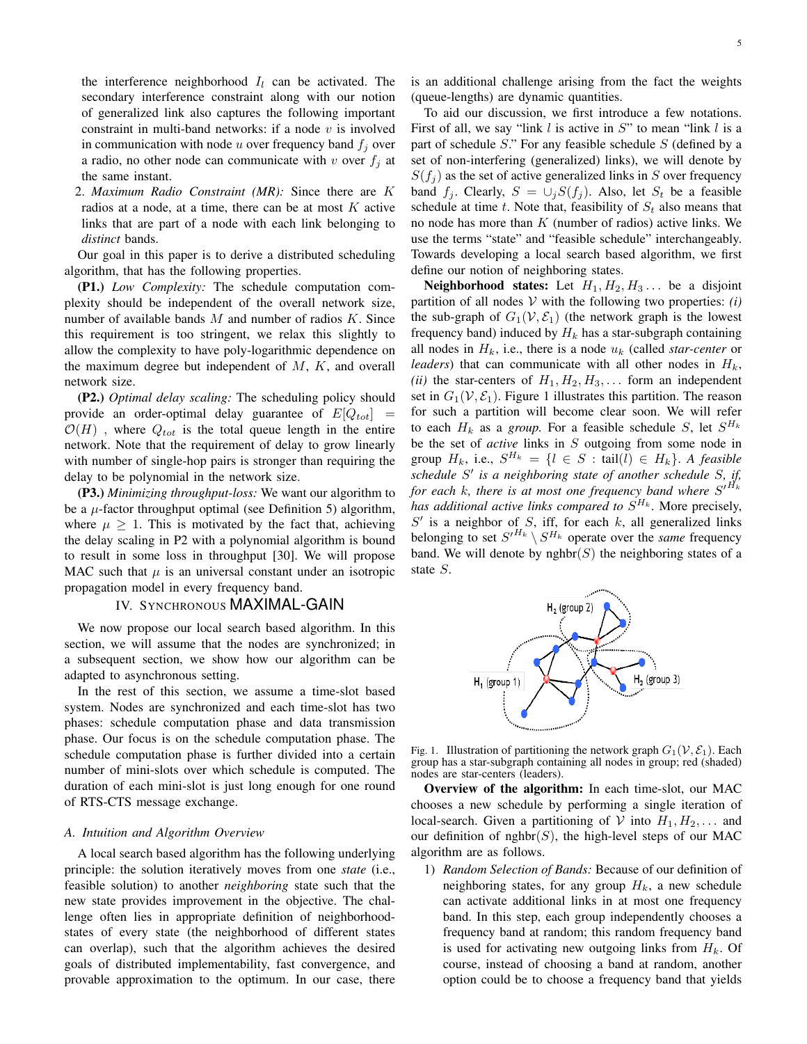the interference neighborhood  $I_l$  can be activated. The secondary interference constraint along with our notion of generalized link also captures the following important constraint in multi-band networks: if a node  $v$  is involved in communication with node u over frequency band  $f_i$  over a radio, no other node can communicate with v over  $f_i$  at the same instant.

2. *Maximum Radio Constraint (MR):* Since there are K radios at a node, at a time, there can be at most  $K$  active links that are part of a node with each link belonging to *distinct* bands.

Our goal in this paper is to derive a distributed scheduling algorithm, that has the following properties.

(P1.) *Low Complexity:* The schedule computation complexity should be independent of the overall network size, number of available bands  $M$  and number of radios  $K$ . Since this requirement is too stringent, we relax this slightly to allow the complexity to have poly-logarithmic dependence on the maximum degree but independent of  $M$ ,  $K$ , and overall network size.

(P2.) *Optimal delay scaling:* The scheduling policy should provide an order-optimal delay guarantee of  $E[Q_{tot}]$  =  $\mathcal{O}(H)$ , where  $Q_{tot}$  is the total queue length in the entire network. Note that the requirement of delay to grow linearly with number of single-hop pairs is stronger than requiring the delay to be polynomial in the network size.

(P3.) *Minimizing throughput-loss:* We want our algorithm to be a  $\mu$ -factor throughput optimal (see Definition 5) algorithm, where  $\mu > 1$ . This is motivated by the fact that, achieving the delay scaling in P2 with a polynomial algorithm is bound to result in some loss in throughput [30]. We will propose MAC such that  $\mu$  is an universal constant under an isotropic propagation model in every frequency band.

IV. SYNCHRONOUS MAXIMAL-GAIN

We now propose our local search based algorithm. In this section, we will assume that the nodes are synchronized; in a subsequent section, we show how our algorithm can be adapted to asynchronous setting.

In the rest of this section, we assume a time-slot based system. Nodes are synchronized and each time-slot has two phases: schedule computation phase and data transmission phase. Our focus is on the schedule computation phase. The schedule computation phase is further divided into a certain number of mini-slots over which schedule is computed. The duration of each mini-slot is just long enough for one round of RTS-CTS message exchange.

## *A. Intuition and Algorithm Overview*

A local search based algorithm has the following underlying principle: the solution iteratively moves from one *state* (i.e., feasible solution) to another *neighboring* state such that the new state provides improvement in the objective. The challenge often lies in appropriate definition of neighborhoodstates of every state (the neighborhood of different states can overlap), such that the algorithm achieves the desired goals of distributed implementability, fast convergence, and provable approximation to the optimum. In our case, there is an additional challenge arising from the fact the weights (queue-lengths) are dynamic quantities.

To aid our discussion, we first introduce a few notations. First of all, we say "link  $l$  is active in  $S$ " to mean "link  $l$  is a part of schedule  $S$ ." For any feasible schedule  $S$  (defined by a set of non-interfering (generalized) links), we will denote by  $S(f_i)$  as the set of active generalized links in S over frequency band  $f_j$ . Clearly,  $S = \bigcup_j S(f_j)$ . Also, let  $S_t$  be a feasible schedule at time t. Note that, feasibility of  $S_t$  also means that no node has more than  $K$  (number of radios) active links. We use the terms "state" and "feasible schedule" interchangeably. Towards developing a local search based algorithm, we first define our notion of neighboring states.

Neighborhood states: Let  $H_1, H_2, H_3$ ... be a disjoint partition of all nodes  $V$  with the following two properties:  $(i)$ the sub-graph of  $G_1(V, \mathcal{E}_1)$  (the network graph is the lowest frequency band) induced by  $H_k$  has a star-subgraph containing all nodes in  $H_k$ , i.e., there is a node  $u_k$  (called *star-center* or *leaders*) that can communicate with all other nodes in  $H_k$ , *(ii)* the star-centers of  $H_1, H_2, H_3, \ldots$  form an independent set in  $G_1(V, \mathcal{E}_1)$ . Figure 1 illustrates this partition. The reason for such a partition will become clear soon. We will refer to each  $H_k$  as a *group*. For a feasible schedule S, let  $S^{H_k}$ be the set of *active* links in S outgoing from some node in group  $H_k$ , i.e.,  $S^{H_k} = \{l \in S : \text{tail}(l) \in H_k\}$ . *A feasible schedule* S ′ *is a neighboring state of another schedule* S*, if,* for each  $k$ , there is at most one frequency band where  $S'^{H_k}$ has additional active links compared to  $S^{H_k}$ . More precisely,  $S'$  is a neighbor of  $S$ , iff, for each  $k$ , all generalized links belonging to set  $S'^{H_k} \setminus S^{H_k}$  operate over the *same* frequency band. We will denote by nghbr( $S$ ) the neighboring states of a state S.



Fig. 1. Illustration of partitioning the network graph  $G_1(\mathcal{V}, \mathcal{E}_1)$ . Each group has a star-subgraph containing all nodes in group; red (shaded) nodes are star-centers (leaders).

Overview of the algorithm: In each time-slot, our MAC chooses a new schedule by performing a single iteration of local-search. Given a partitioning of V into  $H_1, H_2, \ldots$  and our definition of nghbr $(S)$ , the high-level steps of our MAC algorithm are as follows.

1) *Random Selection of Bands:* Because of our definition of neighboring states, for any group  $H_k$ , a new schedule can activate additional links in at most one frequency band. In this step, each group independently chooses a frequency band at random; this random frequency band is used for activating new outgoing links from  $H_k$ . Of course, instead of choosing a band at random, another option could be to choose a frequency band that yields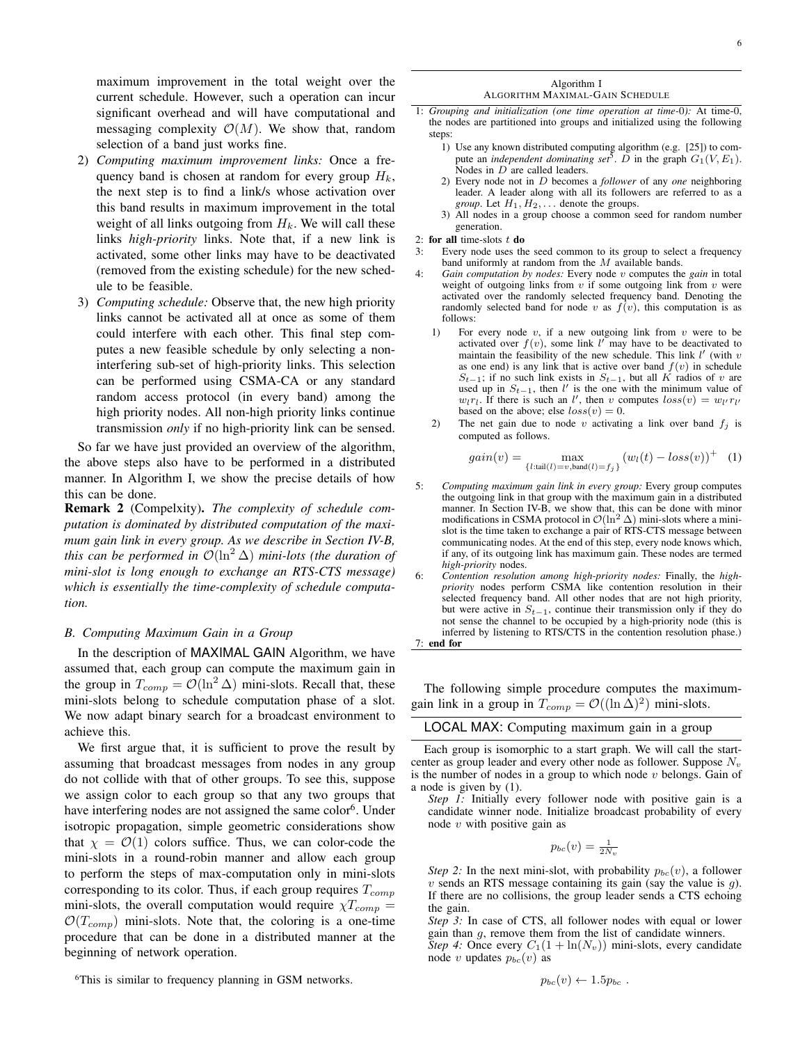maximum improvement in the total weight over the current schedule. However, such a operation can incur significant overhead and will have computational and messaging complexity  $\mathcal{O}(M)$ . We show that, random selection of a band just works fine.

- 2) *Computing maximum improvement links:* Once a frequency band is chosen at random for every group  $H_k$ , the next step is to find a link/s whose activation over this band results in maximum improvement in the total weight of all links outgoing from  $H_k$ . We will call these links *high-priority* links. Note that, if a new link is activated, some other links may have to be deactivated (removed from the existing schedule) for the new schedule to be feasible.
- 3) *Computing schedule:* Observe that, the new high priority links cannot be activated all at once as some of them could interfere with each other. This final step computes a new feasible schedule by only selecting a noninterfering sub-set of high-priority links. This selection can be performed using CSMA-CA or any standard random access protocol (in every band) among the high priority nodes. All non-high priority links continue transmission *only* if no high-priority link can be sensed.

So far we have just provided an overview of the algorithm, the above steps also have to be performed in a distributed manner. In Algorithm I, we show the precise details of how this can be done.

Remark 2 (Compelxity). *The complexity of schedule computation is dominated by distributed computation of the maximum gain link in every group. As we describe in Section IV-B, this can be performed in*  $\mathcal{O}(\ln^2 \Delta)$  *mini-lots (the duration of mini-slot is long enough to exchange an RTS-CTS message) which is essentially the time-complexity of schedule computation.*

## *B. Computing Maximum Gain in a Group*

In the description of MAXIMAL GAIN Algorithm, we have assumed that, each group can compute the maximum gain in the group in  $T_{comp} = \mathcal{O}(\ln^2 \Delta)$  mini-slots. Recall that, these mini-slots belong to schedule computation phase of a slot. We now adapt binary search for a broadcast environment to achieve this.

We first argue that, it is sufficient to prove the result by assuming that broadcast messages from nodes in any group do not collide with that of other groups. To see this, suppose we assign color to each group so that any two groups that have interfering nodes are not assigned the same color<sup>6</sup>. Under isotropic propagation, simple geometric considerations show that  $\chi = \mathcal{O}(1)$  colors suffice. Thus, we can color-code the mini-slots in a round-robin manner and allow each group to perform the steps of max-computation only in mini-slots corresponding to its color. Thus, if each group requires  $T_{comp}$ mini-slots, the overall computation would require  $\chi T_{comp} =$  $\mathcal{O}(T_{comp})$  mini-slots. Note that, the coloring is a one-time procedure that can be done in a distributed manner at the beginning of network operation.

<sup>6</sup>This is similar to frequency planning in GSM networks.

#### Algorithm I ALGORITHM MAXIMAL-GAIN SCHEDULE

- 1: *Grouping and initialization (one time operation at time-*0*):* At time-0, the nodes are partitioned into groups and initialized using the following steps:
	- 1) Use any known distributed computing algorithm (e.g. [25]) to compute an *independent dominating set*<sup>5</sup>.  $\overline{D}$  in the graph  $G_1(V, E_1)$ . Nodes in D are called leaders.
	- 2) Every node not in D becomes a *follower* of any *one* neighboring leader. A leader along with all its followers are referred to as a *group*. Let  $H_1, H_2, \ldots$  denote the groups.
	- 3) All nodes in a group choose a common seed for random number generation.
- 2: for all time-slots  $t$  do
- 3: Every node uses the seed common to its group to select a frequency band uniformly at random from the M available bands.
- 4: *Gain computation by nodes:* Every node v computes the *gain* in total weight of outgoing links from  $v$  if some outgoing link from  $v$  were activated over the randomly selected frequency band. Denoting the randomly selected band for node v as  $f(v)$ , this computation is as follows:
	- 1) For every node  $v$ , if a new outgoing link from  $v$  were to be activated over  $f(v)$ , some link l' may have to be deactivated to maintain the feasibility of the new schedule. This link  $l'$  (with  $v$ as one end) is any link that is active over band  $f(v)$  in schedule  $S_{t-1}$ ; if no such link exists in  $S_{t-1}$ , but all K radios of v are used up in  $S_{t-1}$ , then l' is the one with the minimum value of  $w_l r_l$ . If there is such an l', then v computes  $loss(v) = w_{l'} r_{l'}$ based on the above; else  $loss(v) = 0$ .
	- 2) The net gain due to node v activating a link over band  $f_i$  is computed as follows.

$$
gain(v) = \max_{\{l:\text{tail}(l)=v,\text{band}(l)=f_j\}} (w_l(t) - loss(v))^+ (1)
$$

- 5: *Computing maximum gain link in every group:* Every group computes the outgoing link in that group with the maximum gain in a distributed manner. In Section IV-B, we show that, this can be done with minor modifications in CSMA protocol in  $\mathcal{O}(\ln^2 \Delta)$  mini-slots where a minislot is the time taken to exchange a pair of RTS-CTS message between communicating nodes. At the end of this step, every node knows which, if any, of its outgoing link has maximum gain. These nodes are termed *high-priority* nodes.
- 6: *Contention resolution among high-priority nodes:* Finally, the *highpriority* nodes perform CSMA like contention resolution in their selected frequency band. All other nodes that are not high priority, but were active in  $S_{t-1}$ , continue their transmission only if they do not sense the channel to be occupied by a high-priority node (this is inferred by listening to RTS/CTS in the contention resolution phase.) 7: end for

The following simple procedure computes the maximumgain link in a group in  $T_{comp} = \mathcal{O}((\ln \Delta)^2)$  mini-slots.

# LOCAL MAX: Computing maximum gain in a group

Each group is isomorphic to a start graph. We will call the startcenter as group leader and every other node as follower. Suppose  $N_v$ is the number of nodes in a group to which node  $v$  belongs. Gain of a node is given by (1).

*Step 1:* Initially every follower node with positive gain is a candidate winner node. Initialize broadcast probability of every node  $v$  with positive gain as

$$
p_{bc}(v) = \frac{1}{2N_v}
$$

*Step 2:* In the next mini-slot, with probability  $p_{bc}(v)$ , a follower  $v$  sends an RTS message containing its gain (say the value is  $g$ ). If there are no collisions, the group leader sends a CTS echoing the gain.

*Step 3:* In case of CTS, all follower nodes with equal or lower gain than  $g$ , remove them from the list of candidate winners. *Step 4:* Once every  $C_1(1 + \ln(N_v))$  mini-slots, every candidate node v updates  $p_{bc}(v)$  as

$$
p_{bc}(v) \leftarrow 1.5p_{bc} .
$$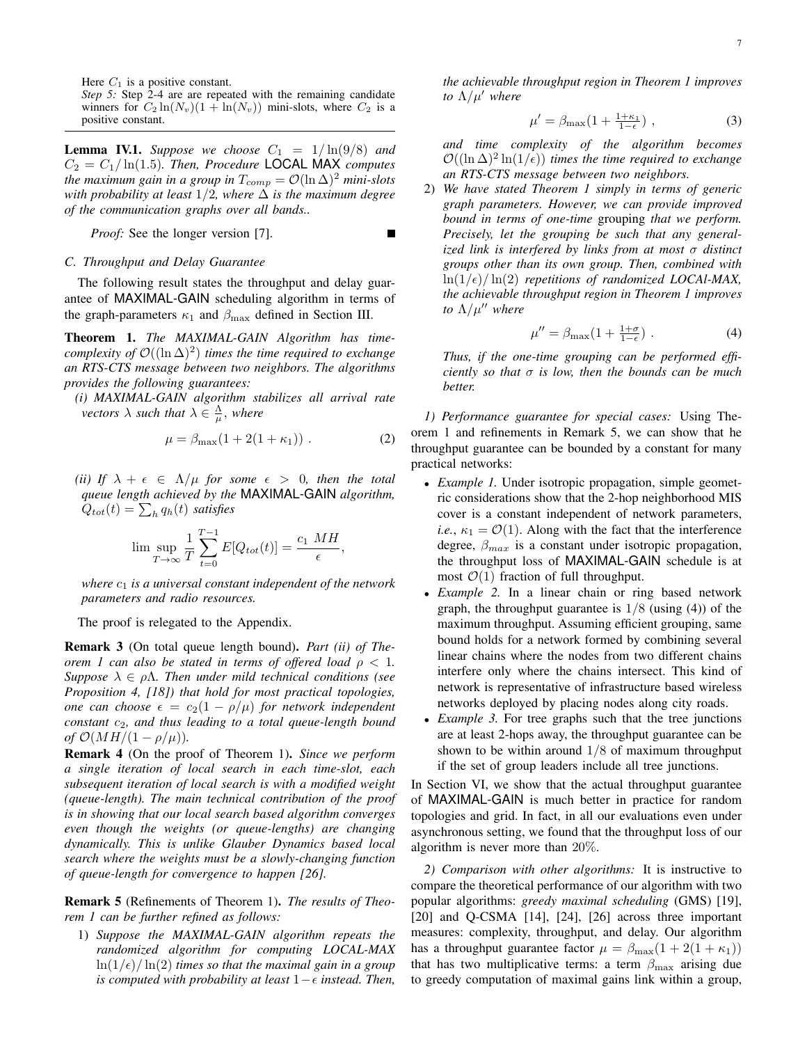Here  $C_1$  is a positive constant.

*Step 5:* Step 2-4 are are repeated with the remaining candidate winners for  $C_2 \ln(N_v)(1 + \ln(N_v))$  mini-slots, where  $C_2$  is a positive constant.

**Lemma IV.1.** Suppose we choose  $C_1 = 1/\ln(9/8)$  and  $C_2 = C_1 / \ln(1.5)$ *. Then, Procedure* **LOCAL MAX** *computes the maximum gain in a group in*  $T_{comp} = \mathcal{O}(\ln \Delta)^2$  *mini-slots with probability at least* 1/2*, where* ∆ *is the maximum degree of the communication graphs over all bands..*

*Proof:* See the longer version [7]. Г

# *C. Throughput and Delay Guarantee*

The following result states the throughput and delay guarantee of MAXIMAL-GAIN scheduling algorithm in terms of the graph-parameters  $\kappa_1$  and  $\beta_{\text{max}}$  defined in Section III.

Theorem 1. *The MAXIMAL-GAIN Algorithm has timecomplexity of*  $\mathcal{O}((\ln \Delta)^2)$  *times the time required to exchange an RTS-CTS message between two neighbors. The algorithms provides the following guarantees:*

*(i) MAXIMAL-GAIN algorithm stabilizes all arrival rate vectors*  $\lambda$  *such that*  $\lambda \in \frac{\Lambda}{\mu}$ *, where* 

$$
\mu = \beta_{\text{max}} (1 + 2(1 + \kappa_1)) \ . \tag{2}
$$

*(ii)* If  $\lambda + \epsilon \in \Lambda/\mu$  for some  $\epsilon > 0$ , then the total *queue length achieved by the* MAXIMAL-GAIN *algorithm,*  $Q_{tot}(t) = \sum_h q_h(t)$  satisfies

$$
\limsup_{T \to \infty} \frac{1}{T} \sum_{t=0}^{T-1} E[Q_{tot}(t)] = \frac{c_1 \; M H}{\epsilon},
$$

*where*  $c_1$  *is a universal constant independent of the network parameters and radio resources.*

The proof is relegated to the Appendix.

Remark 3 (On total queue length bound). *Part (ii) of Theorem 1 can also be stated in terms of offered load*  $\rho < 1$ *. Suppose*  $\lambda \in \rho \Lambda$ *. Then under mild technical conditions (see Proposition 4, [18]) that hold for most practical topologies, one can choose*  $\epsilon = c_2(1 - \rho/\mu)$  *for network independent*  $constant$   $c_2$ , and thus leading to a total queue-length bound *of*  $\mathcal{O}(MH/(1-\rho/\mu)).$ 

Remark 4 (On the proof of Theorem 1). *Since we perform a single iteration of local search in each time-slot, each subsequent iteration of local search is with a modified weight (queue-length). The main technical contribution of the proof is in showing that our local search based algorithm converges even though the weights (or queue-lengths) are changing dynamically. This is unlike Glauber Dynamics based local search where the weights must be a slowly-changing function of queue-length for convergence to happen [26].*

Remark 5 (Refinements of Theorem 1). *The results of Theorem 1 can be further refined as follows:*

1) *Suppose the MAXIMAL-GAIN algorithm repeats the randomized algorithm for computing LOCAL-MAX*  $\ln(1/\epsilon)/\ln(2)$  *times so that the maximal gain in a group is computed with probability at least*  $1 - \epsilon$  *instead. Then,*  *the achievable throughput region in Theorem 1 improves to*  $\Lambda/\mu'$  *where* 

$$
\mu' = \beta_{\text{max}} \left( 1 + \frac{1 + \kappa_1}{1 - \epsilon} \right) , \qquad (3)
$$

*and time complexity of the algorithm becomes*  $\mathcal{O}((\ln \Delta)^2 \ln(1/\epsilon))$  *times the time required to exchange an RTS-CTS message between two neighbors.*

2) *We have stated Theorem 1 simply in terms of generic graph parameters. However, we can provide improved bound in terms of one-time* grouping *that we perform. Precisely, let the grouping be such that any generalized link is interfered by links from at most* σ *distinct groups other than its own group. Then, combined with*  $\ln(1/\epsilon)/\ln(2)$  *repetitions of randomized LOCAl-MAX*, *the achievable throughput region in Theorem 1 improves to*  $\Lambda/\mu''$  *where* 

$$
\mu'' = \beta_{\text{max}} \left( 1 + \frac{1+\sigma}{1-\epsilon} \right) \,. \tag{4}
$$

*Thus, if the one-time grouping can be performed efficiently so that* σ *is low, then the bounds can be much better.*

*1) Performance guarantee for special cases:* Using Theorem 1 and refinements in Remark 5, we can show that he throughput guarantee can be bounded by a constant for many practical networks:

- *Example 1.* Under isotropic propagation, simple geometric considerations show that the 2-hop neighborhood MIS cover is a constant independent of network parameters, *i.e.*,  $\kappa_1 = \mathcal{O}(1)$ . Along with the fact that the interference degree,  $\beta_{max}$  is a constant under isotropic propagation, the throughput loss of MAXIMAL-GAIN schedule is at most  $\mathcal{O}(1)$  fraction of full throughput.
- *Example 2.* In a linear chain or ring based network graph, the throughput guarantee is  $1/8$  (using (4)) of the maximum throughput. Assuming efficient grouping, same bound holds for a network formed by combining several linear chains where the nodes from two different chains interfere only where the chains intersect. This kind of network is representative of infrastructure based wireless networks deployed by placing nodes along city roads.
- *Example 3*. For tree graphs such that the tree junctions are at least 2-hops away, the throughput guarantee can be shown to be within around  $1/8$  of maximum throughput if the set of group leaders include all tree junctions.

In Section VI, we show that the actual throughput guarantee of MAXIMAL-GAIN is much better in practice for random topologies and grid. In fact, in all our evaluations even under asynchronous setting, we found that the throughput loss of our algorithm is never more than 20%.

*2) Comparison with other algorithms:* It is instructive to compare the theoretical performance of our algorithm with two popular algorithms: *greedy maximal scheduling* (GMS) [19],  $[20]$  and Q-CSMA  $[14]$ ,  $[24]$ ,  $[26]$  across three important measures: complexity, throughput, and delay. Our algorithm has a throughput guarantee factor  $\mu = \beta_{\text{max}}(1 + 2(1 + \kappa_1))$ that has two multiplicative terms: a term  $\beta_{\text{max}}$  arising due to greedy computation of maximal gains link within a group,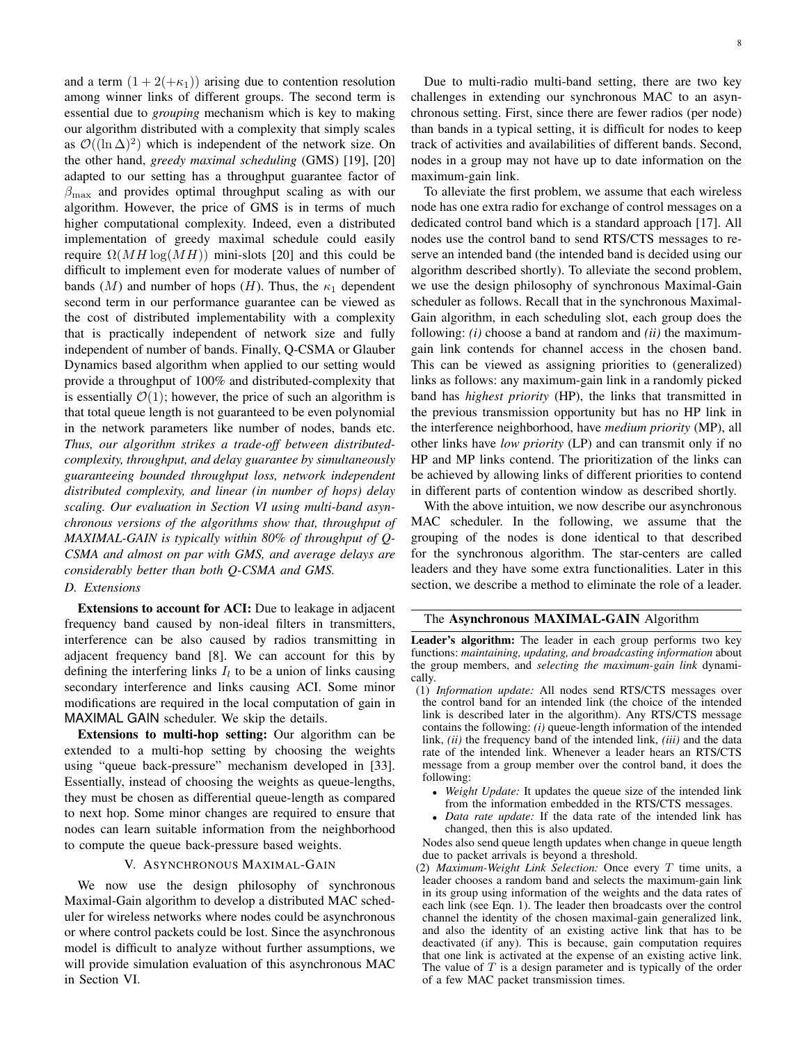and a term  $(1 + 2(+\kappa_1))$  arising due to contention resolution among winner links of different groups. The second term is essential due to *grouping* mechanism which is key to making our algorithm distributed with a complexity that simply scales as  $\mathcal{O}((\ln \Delta)^2)$  which is independent of the network size. On the other hand, *greedy maximal scheduling* (GMS) [19], [20] adapted to our setting has a throughput guarantee factor of  $\beta_{\text{max}}$  and provides optimal throughput scaling as with our algorithm. However, the price of GMS is in terms of much higher computational complexity. Indeed, even a distributed implementation of greedy maximal schedule could easily require  $\Omega(MH \log(MH))$  mini-slots [20] and this could be difficult to implement even for moderate values of number of bands (M) and number of hops (H). Thus, the  $\kappa_1$  dependent second term in our performance guarantee can be viewed as the cost of distributed implementability with a complexity that is practically independent of network size and fully independent of number of bands. Finally, Q-CSMA or Glauber Dynamics based algorithm when applied to our setting would provide a throughput of 100% and distributed-complexity that is essentially  $\mathcal{O}(1)$ ; however, the price of such an algorithm is that total queue length is not guaranteed to be even polynomial in the network parameters like number of nodes, bands etc. *Thus, our algorithm strikes a trade-off between distributedcomplexity, throughput, and delay guarantee by simultaneously guaranteeing bounded throughput loss, network independent distributed complexity, and linear (in number of hops) delay scaling. Our evaluation in Section VI using multi-band asynchronous versions of the algorithms show that, throughput of MAXIMAL-GAIN is typically within 80% of throughput of Q-CSMA and almost on par with GMS, and average delays are considerably better than both Q-CSMA and GMS.*

# *D. Extensions*

Extensions to account for ACI: Due to leakage in adjacent frequency band caused by non-ideal filters in transmitters, interference can be also caused by radios transmitting in adjacent frequency band [8]. We can account for this by defining the interfering links  $I_l$  to be a union of links causing secondary interference and links causing ACI. Some minor modifications are required in the local computation of gain in MAXIMAL GAIN scheduler. We skip the details.

Extensions to multi-hop setting: Our algorithm can be extended to a multi-hop setting by choosing the weights using "queue back-pressure" mechanism developed in [33]. Essentially, instead of choosing the weights as queue-lengths, they must be chosen as differential queue-length as compared to next hop. Some minor changes are required to ensure that nodes can learn suitable information from the neighborhood to compute the queue back-pressure based weights.

# V. ASYNCHRONOUS MAXIMAL-GAIN

We now use the design philosophy of synchronous Maximal-Gain algorithm to develop a distributed MAC scheduler for wireless networks where nodes could be asynchronous or where control packets could be lost. Since the asynchronous model is difficult to analyze without further assumptions, we will provide simulation evaluation of this asynchronous MAC in Section VI.

Due to multi-radio multi-band setting, there are two key challenges in extending our synchronous MAC to an asynchronous setting. First, since there are fewer radios (per node) than bands in a typical setting, it is difficult for nodes to keep track of activities and availabilities of different bands. Second, nodes in a group may not have up to date information on the maximum-gain link.

To alleviate the first problem, we assume that each wireless node has one extra radio for exchange of control messages on a dedicated control band which is a standard approach [17]. All nodes use the control band to send RTS/CTS messages to reserve an intended band (the intended band is decided using our algorithm described shortly). To alleviate the second problem, we use the design philosophy of synchronous Maximal-Gain scheduler as follows. Recall that in the synchronous Maximal-Gain algorithm, in each scheduling slot, each group does the following: *(i)* choose a band at random and *(ii)* the maximumgain link contends for channel access in the chosen band. This can be viewed as assigning priorities to (generalized) links as follows: any maximum-gain link in a randomly picked band has *highest priority* (HP), the links that transmitted in the previous transmission opportunity but has no HP link in the interference neighborhood, have *medium priority* (MP), all other links have *low priority* (LP) and can transmit only if no HP and MP links contend. The prioritization of the links can be achieved by allowing links of different priorities to contend in different parts of contention window as described shortly.

With the above intuition, we now describe our asynchronous MAC scheduler. In the following, we assume that the grouping of the nodes is done identical to that described for the synchronous algorithm. The star-centers are called leaders and they have some extra functionalities. Later in this section, we describe a method to eliminate the role of a leader.

### The Asynchronous MAXIMAL-GAIN Algorithm

Leader's algorithm: The leader in each group performs two key functions: *maintaining, updating, and broadcasting information* about the group members, and *selecting the maximum-gain link* dynamically.

- (1) *Information update:* All nodes send RTS/CTS messages over the control band for an intended link (the choice of the intended link is described later in the algorithm). Any RTS/CTS message contains the following: *(i)* queue-length information of the intended link, *(ii)* the frequency band of the intended link, *(iii)* and the data rate of the intended link. Whenever a leader hears an RTS/CTS message from a group member over the control band, it does the following:
	- *Weight Update:* It updates the queue size of the intended link from the information embedded in the RTS/CTS messages.
	- *Data rate update:* If the data rate of the intended link has changed, then this is also updated.

Nodes also send queue length updates when change in queue length due to packet arrivals is beyond a threshold.

(2) *Maximum-Weight Link Selection:* Once every T time units, a leader chooses a random band and selects the maximum-gain link in its group using information of the weights and the data rates of each link (see Eqn. 1). The leader then broadcasts over the control channel the identity of the chosen maximal-gain generalized link, and also the identity of an existing active link that has to be deactivated (if any). This is because, gain computation requires that one link is activated at the expense of an existing active link. The value of  $T$  is a design parameter and is typically of the order of a few MAC packet transmission times.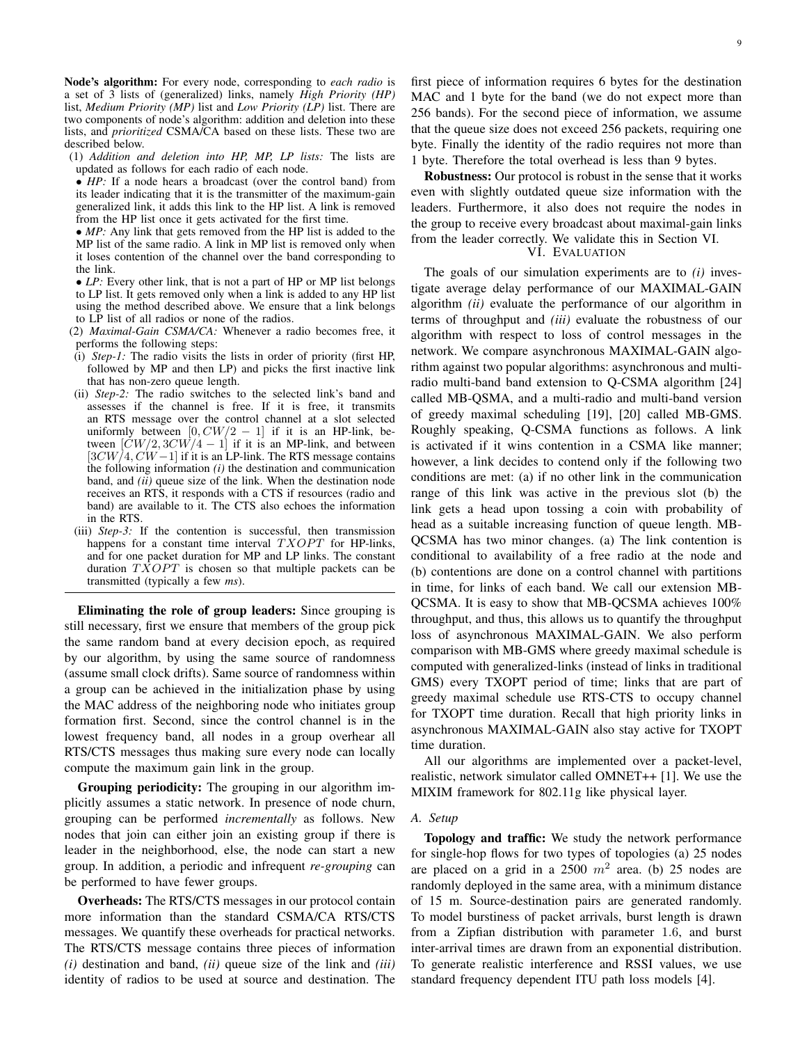9

Node's algorithm: For every node, corresponding to *each radio* is a set of 3 lists of (generalized) links, namely *High Priority (HP)* list, *Medium Priority (MP)* list and *Low Priority (LP)* list. There are two components of node's algorithm: addition and deletion into these lists, and *prioritized* CSMA/CA based on these lists. These two are described below.

(1) *Addition and deletion into HP, MP, LP lists:* The lists are updated as follows for each radio of each node.

• *HP:* If a node hears a broadcast (over the control band) from its leader indicating that it is the transmitter of the maximum-gain generalized link, it adds this link to the HP list. A link is removed from the HP list once it gets activated for the first time.

• *MP*: Any link that gets removed from the HP list is added to the MP list of the same radio. A link in MP list is removed only when it loses contention of the channel over the band corresponding to the link.

• *LP*: Every other link, that is not a part of HP or MP list belongs to LP list. It gets removed only when a link is added to any HP list using the method described above. We ensure that a link belongs to LP list of all radios or none of the radios.

(2) *Maximal-Gain CSMA/CA:* Whenever a radio becomes free, it performs the following steps:

- (i) *Step-1:* The radio visits the lists in order of priority (first HP, followed by MP and then LP) and picks the first inactive link that has non-zero queue length.
- (ii) *Step-2:* The radio switches to the selected link's band and assesses if the channel is free. If it is free, it transmits an RTS message over the control channel at a slot selected uniformly between  $[0, CW/2 - 1]$  if it is an HP-link, between  $[CW/2, 3CW/4 - 1]$  if it is an MP-link, and between  $[3CW/4, CW-1]$  if it is an LP-link. The RTS message contains the following information *(i)* the destination and communication band, and *(ii)* queue size of the link. When the destination node receives an RTS, it responds with a CTS if resources (radio and band) are available to it. The CTS also echoes the information in the RTS.
- (iii) *Step-3:* If the contention is successful, then transmission happens for a constant time interval  $TXOPT$  for HP-links, and for one packet duration for MP and LP links. The constant duration  $T\bar{X}OPT$  is chosen so that multiple packets can be transmitted (typically a few *ms*).

Eliminating the role of group leaders: Since grouping is still necessary, first we ensure that members of the group pick the same random band at every decision epoch, as required by our algorithm, by using the same source of randomness (assume small clock drifts). Same source of randomness within a group can be achieved in the initialization phase by using the MAC address of the neighboring node who initiates group formation first. Second, since the control channel is in the lowest frequency band, all nodes in a group overhear all RTS/CTS messages thus making sure every node can locally compute the maximum gain link in the group.

Grouping periodicity: The grouping in our algorithm implicitly assumes a static network. In presence of node churn, grouping can be performed *incrementally* as follows. New nodes that join can either join an existing group if there is leader in the neighborhood, else, the node can start a new group. In addition, a periodic and infrequent *re-grouping* can be performed to have fewer groups.

Overheads: The RTS/CTS messages in our protocol contain more information than the standard CSMA/CA RTS/CTS messages. We quantify these overheads for practical networks. The RTS/CTS message contains three pieces of information *(i)* destination and band, *(ii)* queue size of the link and *(iii)* identity of radios to be used at source and destination. The first piece of information requires 6 bytes for the destination MAC and 1 byte for the band (we do not expect more than 256 bands). For the second piece of information, we assume that the queue size does not exceed 256 packets, requiring one byte. Finally the identity of the radio requires not more than 1 byte. Therefore the total overhead is less than 9 bytes.

Robustness: Our protocol is robust in the sense that it works even with slightly outdated queue size information with the leaders. Furthermore, it also does not require the nodes in the group to receive every broadcast about maximal-gain links from the leader correctly. We validate this in Section VI.

# VI. EVALUATION

The goals of our simulation experiments are to *(i)* investigate average delay performance of our MAXIMAL-GAIN algorithm *(ii)* evaluate the performance of our algorithm in terms of throughput and *(iii)* evaluate the robustness of our algorithm with respect to loss of control messages in the network. We compare asynchronous MAXIMAL-GAIN algorithm against two popular algorithms: asynchronous and multiradio multi-band band extension to Q-CSMA algorithm [24] called MB-QSMA, and a multi-radio and multi-band version of greedy maximal scheduling [19], [20] called MB-GMS. Roughly speaking, Q-CSMA functions as follows. A link is activated if it wins contention in a CSMA like manner; however, a link decides to contend only if the following two conditions are met: (a) if no other link in the communication range of this link was active in the previous slot (b) the link gets a head upon tossing a coin with probability of head as a suitable increasing function of queue length. MB-QCSMA has two minor changes. (a) The link contention is conditional to availability of a free radio at the node and (b) contentions are done on a control channel with partitions in time, for links of each band. We call our extension MB-QCSMA. It is easy to show that MB-QCSMA achieves 100% throughput, and thus, this allows us to quantify the throughput loss of asynchronous MAXIMAL-GAIN. We also perform comparison with MB-GMS where greedy maximal schedule is computed with generalized-links (instead of links in traditional GMS) every TXOPT period of time; links that are part of greedy maximal schedule use RTS-CTS to occupy channel for TXOPT time duration. Recall that high priority links in asynchronous MAXIMAL-GAIN also stay active for TXOPT time duration.

All our algorithms are implemented over a packet-level, realistic, network simulator called OMNET++ [1]. We use the MIXIM framework for 802.11g like physical layer.

# *A. Setup*

Topology and traffic: We study the network performance for single-hop flows for two types of topologies (a) 25 nodes are placed on a grid in a 2500  $m^2$  area. (b) 25 nodes are randomly deployed in the same area, with a minimum distance of 15 m. Source-destination pairs are generated randomly. To model burstiness of packet arrivals, burst length is drawn from a Zipfian distribution with parameter 1.6, and burst inter-arrival times are drawn from an exponential distribution. To generate realistic interference and RSSI values, we use standard frequency dependent ITU path loss models [4].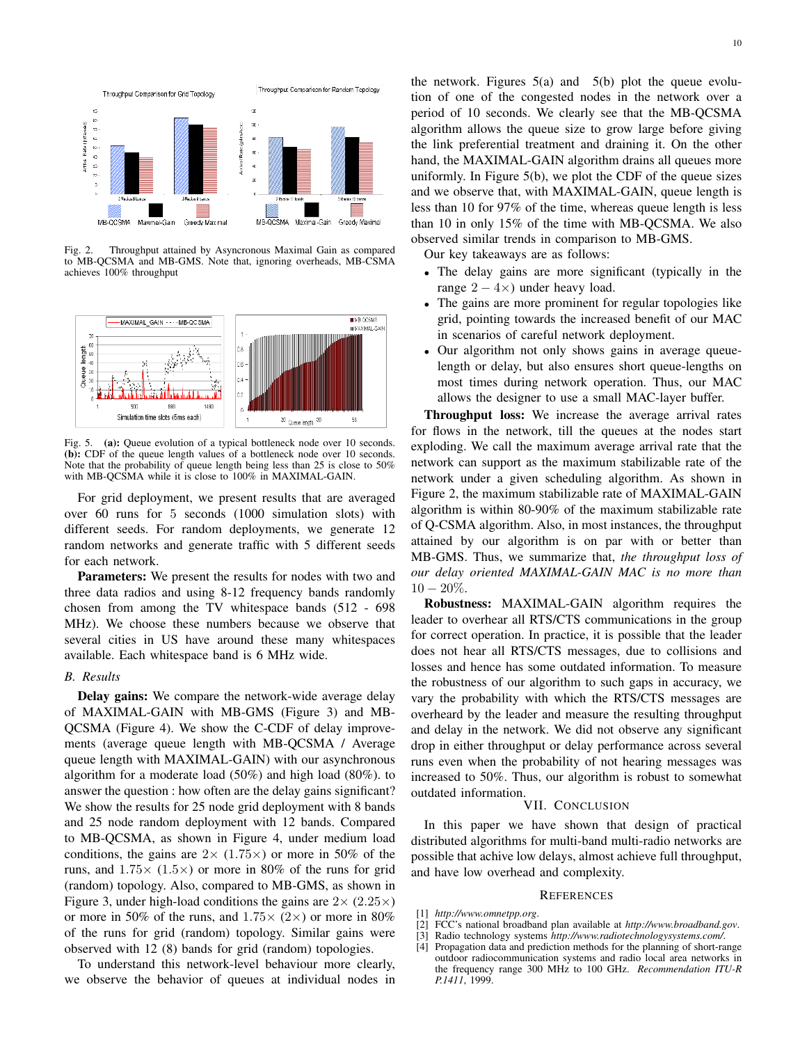

Fig. 2. Throughput attained by Asyncronous Maximal Gain as compared to MB-QCSMA and MB-GMS. Note that, ignoring overheads, MB-CSMA achieves 100% throughput



Fig. 5. (a): Queue evolution of a typical bottleneck node over 10 seconds. (b): CDF of the queue length values of a bottleneck node over 10 seconds. Note that the probability of queue length being less than 25 is close to 50% with MB-QCSMA while it is close to 100% in MAXIMAL-GAIN.

For grid deployment, we present results that are averaged over 60 runs for 5 seconds (1000 simulation slots) with different seeds. For random deployments, we generate 12 random networks and generate traffic with 5 different seeds for each network.

Parameters: We present the results for nodes with two and three data radios and using 8-12 frequency bands randomly chosen from among the TV whitespace bands (512 - 698 MHz). We choose these numbers because we observe that several cities in US have around these many whitespaces available. Each whitespace band is 6 MHz wide.

## *B. Results*

Delay gains: We compare the network-wide average delay of MAXIMAL-GAIN with MB-GMS (Figure 3) and MB-QCSMA (Figure 4). We show the C-CDF of delay improvements (average queue length with MB-QCSMA / Average queue length with MAXIMAL-GAIN) with our asynchronous algorithm for a moderate load (50%) and high load (80%). to answer the question : how often are the delay gains significant? We show the results for 25 node grid deployment with 8 bands and 25 node random deployment with 12 bands. Compared to MB-QCSMA, as shown in Figure 4, under medium load conditions, the gains are  $2 \times (1.75 \times)$  or more in 50% of the runs, and  $1.75 \times (1.5 \times)$  or more in 80% of the runs for grid (random) topology. Also, compared to MB-GMS, as shown in Figure 3, under high-load conditions the gains are  $2 \times (2.25 \times)$ or more in 50% of the runs, and  $1.75 \times (2 \times)$  or more in 80% of the runs for grid (random) topology. Similar gains were observed with 12 (8) bands for grid (random) topologies.

To understand this network-level behaviour more clearly, we observe the behavior of queues at individual nodes in the network. Figures  $5(a)$  and  $5(b)$  plot the queue evolution of one of the congested nodes in the network over a period of 10 seconds. We clearly see that the MB-QCSMA algorithm allows the queue size to grow large before giving the link preferential treatment and draining it. On the other hand, the MAXIMAL-GAIN algorithm drains all queues more uniformly. In Figure 5(b), we plot the CDF of the queue sizes and we observe that, with MAXIMAL-GAIN, queue length is less than 10 for 97% of the time, whereas queue length is less than 10 in only 15% of the time with MB-QCSMA. We also observed similar trends in comparison to MB-GMS.

Our key takeaways are as follows:

- The delay gains are more significant (typically in the range  $2 - 4\times$ ) under heavy load.
- The gains are more prominent for regular topologies like grid, pointing towards the increased benefit of our MAC in scenarios of careful network deployment.
- Our algorithm not only shows gains in average queuelength or delay, but also ensures short queue-lengths on most times during network operation. Thus, our MAC allows the designer to use a small MAC-layer buffer.

Throughput loss: We increase the average arrival rates for flows in the network, till the queues at the nodes start exploding. We call the maximum average arrival rate that the network can support as the maximum stabilizable rate of the network under a given scheduling algorithm. As shown in Figure 2, the maximum stabilizable rate of MAXIMAL-GAIN algorithm is within 80-90% of the maximum stabilizable rate of Q-CSMA algorithm. Also, in most instances, the throughput attained by our algorithm is on par with or better than MB-GMS. Thus, we summarize that, *the throughput loss of our delay oriented MAXIMAL-GAIN MAC is no more than*  $10 - 20\%.$ 

Robustness: MAXIMAL-GAIN algorithm requires the leader to overhear all RTS/CTS communications in the group for correct operation. In practice, it is possible that the leader does not hear all RTS/CTS messages, due to collisions and losses and hence has some outdated information. To measure the robustness of our algorithm to such gaps in accuracy, we vary the probability with which the RTS/CTS messages are overheard by the leader and measure the resulting throughput and delay in the network. We did not observe any significant drop in either throughput or delay performance across several runs even when the probability of not hearing messages was increased to 50%. Thus, our algorithm is robust to somewhat outdated information.

## VII. CONCLUSION

In this paper we have shown that design of practical distributed algorithms for multi-band multi-radio networks are possible that achive low delays, almost achieve full throughput, and have low overhead and complexity.

#### **REFERENCES**

- [1] *http://www.omnetpp.org*.
- [2] FCC's national broadband plan available at *http://www.broadband.gov*.
- [3] Radio technology systems *http://www.radiotechnologysystems.com/*.
- [4] Propagation data and prediction methods for the planning of short-range outdoor radiocommunication systems and radio local area networks in the frequency range 300 MHz to 100 GHz. *Recommendation ITU-R P.1411*, 1999.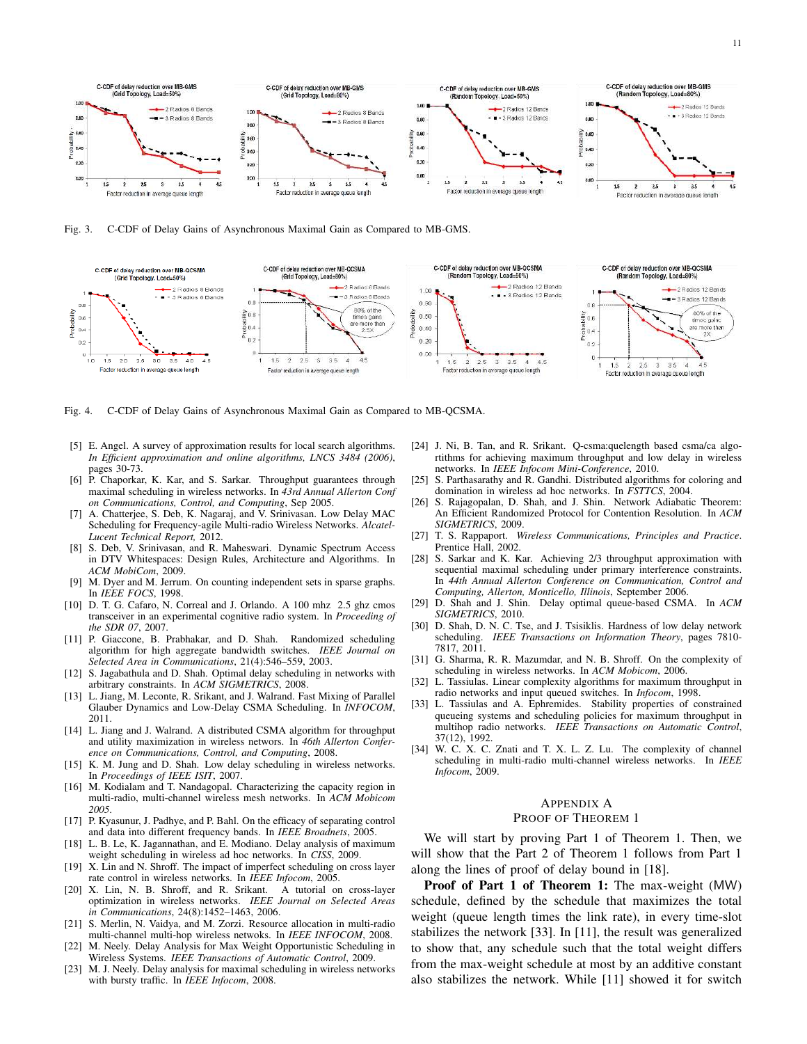

Fig. 3. C-CDF of Delay Gains of Asynchronous Maximal Gain as Compared to MB-GMS.



Fig. 4. C-CDF of Delay Gains of Asynchronous Maximal Gain as Compared to MB-QCSMA.

- [5] E. Angel. A survey of approximation results for local search algorithms. *In Efficient approximation and online algorithms, LNCS 3484 (2006)*, pages 30-73.
- [6] P. Chaporkar, K. Kar, and S. Sarkar. Throughput guarantees through maximal scheduling in wireless networks. In *43rd Annual Allerton Conf on Communications, Control, and Computing*, Sep 2005.
- [7] A. Chatterjee, S. Deb, K. Nagaraj, and V. Srinivasan. Low Delay MAC Scheduling for Frequency-agile Multi-radio Wireless Networks. *Alcatel-Lucent Technical Report,* 2012.
- [8] S. Deb, V. Srinivasan, and R. Maheswari. Dynamic Spectrum Access in DTV Whitespaces: Design Rules, Architecture and Algorithms. In *ACM MobiCom*, 2009.
- [9] M. Dyer and M. Jerrum. On counting independent sets in sparse graphs. In *IEEE FOCS*, 1998.
- [10] D. T. G. Cafaro, N. Correal and J. Orlando. A 100 mhz 2.5 ghz cmos transceiver in an experimental cognitive radio system. In *Proceeding of the SDR 07*, 2007.
- [11] P. Giaccone, B. Prabhakar, and D. Shah. Randomized scheduling algorithm for high aggregate bandwidth switches. *IEEE Journal on Selected Area in Communications*, 21(4):546–559, 2003.
- [12] S. Jagabathula and D. Shah. Optimal delay scheduling in networks with arbitrary constraints. In *ACM SIGMETRICS*, 2008.
- [13] L. Jiang, M. Leconte, R. Srikant, and J. Walrand. Fast Mixing of Parallel Glauber Dynamics and Low-Delay CSMA Scheduling. In *INFOCOM*, 2011.
- [14] L. Jiang and J. Walrand. A distributed CSMA algorithm for throughput and utility maximization in wireless networs. In *46th Allerton Conference on Communications, Control, and Computing*, 2008.
- [15] K. M. Jung and D. Shah. Low delay scheduling in wireless networks. In *Proceedings of IEEE ISIT*, 2007.
- [16] M. Kodialam and T. Nandagopal. Characterizing the capacity region in multi-radio, multi-channel wireless mesh networks. In *ACM Mobicom 2005*.
- [17] P. Kyasunur, J. Padhye, and P. Bahl. On the efficacy of separating control and data into different frequency bands. In *IEEE Broadnets*, 2005.
- [18] L. B. Le, K. Jagannathan, and E. Modiano. Delay analysis of maximum weight scheduling in wireless ad hoc networks. In *CISS*, 2009.
- [19] X. Lin and N. Shroff. The impact of imperfect scheduling on cross layer
- rate control in wireless networks. In *IEEE Infocom*, 2005.  $[20]$  X. Lin, N. B. Shroff, and R. Srikant. optimization in wireless networks. *IEEE Journal on Selected Areas in Communications*, 24(8):1452–1463, 2006.
- [21] S. Merlin, N. Vaidya, and M. Zorzi. Resource allocation in multi-radio multi-channel multi-hop wireless netwoks. In *IEEE INFOCOM*, 2008.
- [22] M. Neely. Delay Analysis for Max Weight Opportunistic Scheduling in Wireless Systems. *IEEE Transactions of Automatic Control*, 2009.
- [23] M. J. Neely. Delay analysis for maximal scheduling in wireless networks with bursty traffic. In *IEEE Infocom*, 2008.
- [24] J. Ni, B. Tan, and R. Srikant. Q-csma:quelength based csma/ca algortithms for achieving maximum throughput and low delay in wireless networks. In *IEEE Infocom Mini-Conference*, 2010.
- [25] S. Parthasarathy and R. Gandhi. Distributed algorithms for coloring and domination in wireless ad hoc networks. In *FSTTCS*, 2004.
- [26] S. Rajagopalan, D. Shah, and J. Shin. Network Adiabatic Theorem: An Efficient Randomized Protocol for Contention Resolution. In *ACM SIGMETRICS*, 2009.
- [27] T. S. Rappaport. *Wireless Communications, Principles and Practice*. Prentice Hall, 2002.
- [28] S. Sarkar and K. Kar. Achieving 2/3 throughput approximation with sequential maximal scheduling under primary interference constraints. In *44th Annual Allerton Conference on Communication, Control and Computing, Allerton, Monticello, Illinois*, September 2006.
- [29] D. Shah and J. Shin. Delay optimal queue-based CSMA. In *ACM SIGMETRICS*, 2010.
- [30] D. Shah, D. N. C. Tse, and J. Tsisiklis. Hardness of low delay network scheduling. *IEEE Transactions on Information Theory*, pages 7810- 7817, 2011.
- [31] G. Sharma, R. R. Mazumdar, and N. B. Shroff. On the complexity of scheduling in wireless networks. In *ACM Mobicom*, 2006.
- [32] L. Tassiulas. Linear complexity algorithms for maximum throughput in radio networks and input queued switches. In *Infocom*, 1998.
- [33] L. Tassiulas and A. Ephremides. Stability properties of constrained queueing systems and scheduling policies for maximum throughput in multihop radio networks. *IEEE Transactions on Automatic Control*, 37(12), 1992.
- [34] W. C. X. C. Znati and T. X. L. Z. Lu. The complexity of channel scheduling in multi-radio multi-channel wireless networks. In *IEEE Infocom*, 2009.

# APPENDIX A

# PROOF OF THEOREM 1

We will start by proving Part 1 of Theorem 1. Then, we will show that the Part 2 of Theorem 1 follows from Part 1 along the lines of proof of delay bound in [18].

Proof of Part 1 of Theorem 1: The max-weight (MW) schedule, defined by the schedule that maximizes the total weight (queue length times the link rate), in every time-slot stabilizes the network [33]. In [11], the result was generalized to show that, any schedule such that the total weight differs from the max-weight schedule at most by an additive constant also stabilizes the network. While [11] showed it for switch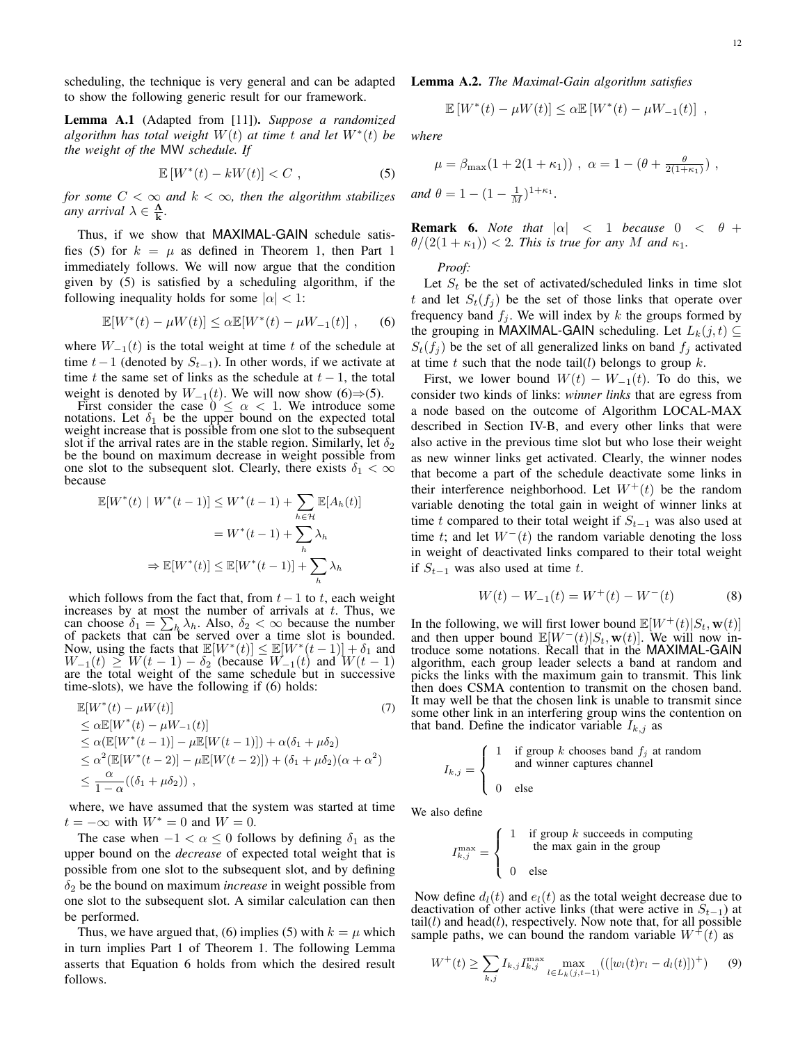scheduling, the technique is very general and can be adapted to show the following generic result for our framework.

Lemma A.1 (Adapted from [11]). *Suppose a randomized algorithm has total weight* W(t) *at time* t *and let* W<sup>∗</sup> (t) *be the weight of the* MW *schedule. If*

$$
\mathbb{E}\left[W^*(t) - kW(t)\right] < C \tag{5}
$$

*for some*  $C < \infty$  *and*  $k < \infty$ *, then the algorithm stabilizes any arrival*  $\lambda \in \frac{\Lambda}{k}$ .

Thus, if we show that MAXIMAL-GAIN schedule satisfies (5) for  $k = \mu$  as defined in Theorem 1, then Part 1 immediately follows. We will now argue that the condition given by (5) is satisfied by a scheduling algorithm, if the following inequality holds for some  $|\alpha| < 1$ :

$$
\mathbb{E}[W^*(t) - \mu W(t)] \le \alpha \mathbb{E}[W^*(t) - \mu W_{-1}(t)], \quad (6)
$$

where  $W_{-1}(t)$  is the total weight at time t of the schedule at time  $t-1$  (denoted by  $S_{t-1}$ ). In other words, if we activate at time t the same set of links as the schedule at  $t - 1$ , the total weight is denoted by  $W_{-1}(t)$ . We will now show (6)⇒(5).

First consider the case  $0 \leq \alpha < 1$ . We introduce some notations. Let  $\delta_1$  be the upper bound on the expected total weight increase that is possible from one slot to the subsequent slot if the arrival rates are in the stable region. Similarly, let  $\delta_2$ be the bound on maximum decrease in weight possible from one slot to the subsequent slot. Clearly, there exists  $\delta_1 < \infty$ because

$$
\mathbb{E}[W^*(t) \mid W^*(t-1)] \le W^*(t-1) + \sum_{h \in \mathcal{H}} \mathbb{E}[A_h(t)]
$$

$$
= W^*(t-1) + \sum_h \lambda_h
$$

$$
\Rightarrow \mathbb{E}[W^*(t)] \le \mathbb{E}[W^*(t-1)] + \sum_h \lambda_h
$$

which follows from the fact that, from  $t-1$  to t, each weight increases by at most the number of arrivals at  $t$ . Thus, we can choose  $\delta_1 = \sum_h \lambda_h$ . Also,  $\delta_2 < \infty$  because the number of packets that can be served over a time slot is bounded.<br>Now, using the facts that  $\mathbb{E}[W^*(t)] \leq \mathbb{E}[W^*(t-1)] + \delta_1$  and  $W_{-1}(t) \ge W(t-1) - \delta_2$  (because  $W_{-1}(t)$  and  $W(t-1)$ ) are the total weight of the same schedule but in successive time-slots), we have the following if (6) holds:

$$
\mathbb{E}[W^*(t) - \mu W(t)]
$$
\n
$$
\leq \alpha \mathbb{E}[W^*(t) - \mu W_{-1}(t)]
$$
\n
$$
\leq \alpha (\mathbb{E}[W^*(t-1)] - \mu \mathbb{E}[W(t-1)]) + \alpha(\delta_1 + \mu \delta_2)
$$
\n
$$
\leq \alpha^2 (\mathbb{E}[W^*(t-2)] - \mu \mathbb{E}[W(t-2)]) + (\delta_1 + \mu \delta_2)(\alpha + \alpha^2)
$$
\n
$$
\leq \frac{\alpha}{1 - \alpha} ((\delta_1 + \mu \delta_2)),
$$
\n(7)

where, we have assumed that the system was started at time  $t = -\infty$  with  $W^* = 0$  and  $W = 0$ .

The case when  $-1 < \alpha \leq 0$  follows by defining  $\delta_1$  as the upper bound on the *decrease* of expected total weight that is possible from one slot to the subsequent slot, and by defining  $\delta_2$  be the bound on maximum *increase* in weight possible from one slot to the subsequent slot. A similar calculation can then be performed.

Thus, we have argued that, (6) implies (5) with  $k = \mu$  which in turn implies Part 1 of Theorem 1. The following Lemma asserts that Equation 6 holds from which the desired result follows.

Lemma A.2. *The Maximal-Gain algorithm satisfies*

$$
\mathbb{E}\left[W^*(t) - \mu W(t)\right] \le \alpha \mathbb{E}\left[W^*(t) - \mu W_{-1}(t)\right],
$$

*where*

$$
\mu = \beta_{\max}(1 + 2(1 + \kappa_1)), \ \alpha = 1 - (\theta + \frac{\theta}{2(1 + \kappa_1)}),
$$
  
and  $\theta = 1 - (1 - \frac{1}{M})^{1 + \kappa_1}.$ 

**Remark 6.** *Note that*  $|\alpha| < 1$  *because*  $0 < \theta + \pi$  $\theta/(2(1+\kappa_1)) < 2$ . This is true for any M and  $\kappa_1$ .

*Proof:*

Let  $S_t$  be the set of activated/scheduled links in time slot t and let  $S_t(f_i)$  be the set of those links that operate over frequency band  $f_i$ . We will index by k the groups formed by the grouping in MAXIMAL-GAIN scheduling. Let  $L_k(j, t) \subseteq$  $S_t(f_i)$  be the set of all generalized links on band  $f_i$  activated at time  $t$  such that the node tail( $l$ ) belongs to group  $k$ .

First, we lower bound  $W(t) - W_{-1}(t)$ . To do this, we consider two kinds of links: *winner links* that are egress from a node based on the outcome of Algorithm LOCAL-MAX described in Section IV-B, and every other links that were also active in the previous time slot but who lose their weight as new winner links get activated. Clearly, the winner nodes that become a part of the schedule deactivate some links in their interference neighborhood. Let  $W^+(t)$  be the random variable denoting the total gain in weight of winner links at time t compared to their total weight if  $S_{t-1}$  was also used at time t; and let  $W^-(t)$  the random variable denoting the loss in weight of deactivated links compared to their total weight if  $S_{t-1}$  was also used at time t.

$$
W(t) - W_{-1}(t) = W^{+}(t) - W^{-}(t)
$$
\n(8)

In the following, we will first lower bound  $\mathbb{E}[W^+(t)|S_t, \mathbf{w}(t)]$ and then upper bound  $\mathbb{E}[W^-(t)|S_t, \mathbf{w}(t)]$ . We will now introduce some notations. Recall that in the MAXIMAL-GAIN algorithm, each group leader selects a band at random and picks the links with the maximum gain to transmit. This link then does CSMA contention to transmit on the chosen band. It may well be that the chosen link is unable to transmit since some other link in an interfering group wins the contention on that band. Define the indicator variable  $I_{k,j}$  as

$$
I_{k,j} = \begin{cases} 1 & \text{if group } k \text{ chooses band } f_j \text{ at random} \\ & \text{and winner captures channel} \\ 0 & \text{else} \end{cases}
$$

We also define

$$
I_{k,j}^{\max} = \begin{cases} 1 & \text{if group } k \text{ succeeds in computing} \\ & \text{the max gain in the group} \\ 0 & \text{else} \end{cases}
$$

Now define  $d_l(t)$  and  $e_l(t)$  as the total weight decrease due to deactivation of other active links (that were active in  $S_{t-1}$ ) at tail $(l)$  and head $(l)$ , respectively. Now note that, for all possible sample paths, we can bound the random variable  $W^+(t)$  as

$$
W^{+}(t) \geq \sum_{k,j} I_{k,j} I_{k,j}^{\max} \max_{l \in L_{k}(j,t-1)} (([w_{l}(t)r_{l} - d_{l}(t)])^{+})
$$
(9)